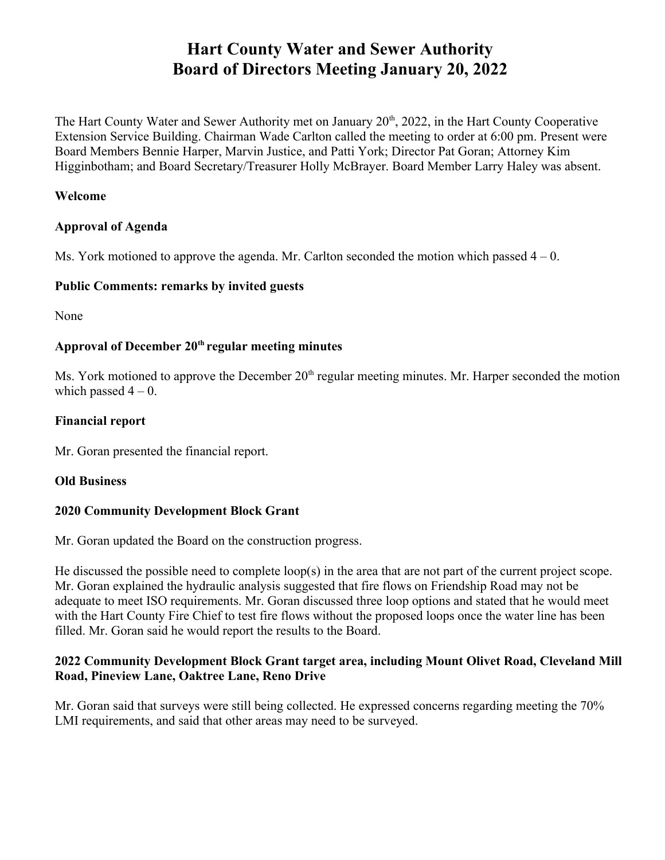# **Hart County Water and Sewer Authority Board of Directors Meeting January 20, 2022**

The Hart County Water and Sewer Authority met on January 20<sup>th</sup>, 2022, in the Hart County Cooperative Extension Service Building. Chairman Wade Carlton called the meeting to order at 6:00 pm. Present were Board Members Bennie Harper, Marvin Justice, and Patti York; Director Pat Goran; Attorney Kim Higginbotham; and Board Secretary/Treasurer Holly McBrayer. Board Member Larry Haley was absent.

#### **Welcome**

#### **Approval of Agenda**

Ms. York motioned to approve the agenda. Mr. Carlton seconded the motion which passed  $4 - 0$ .

#### **Public Comments: remarks by invited guests**

None

#### **Approval of December 20th regular meeting minutes**

Ms. York motioned to approve the December 20<sup>th</sup> regular meeting minutes. Mr. Harper seconded the motion which passed  $4 - 0$ .

#### **Financial report**

Mr. Goran presented the financial report.

#### **Old Business**

#### **2020 Community Development Block Grant**

Mr. Goran updated the Board on the construction progress.

He discussed the possible need to complete loop(s) in the area that are not part of the current project scope. Mr. Goran explained the hydraulic analysis suggested that fire flows on Friendship Road may not be adequate to meet ISO requirements. Mr. Goran discussed three loop options and stated that he would meet with the Hart County Fire Chief to test fire flows without the proposed loops once the water line has been filled. Mr. Goran said he would report the results to the Board.

#### **2022 Community Development Block Grant target area, including Mount Olivet Road, Cleveland Mill Road, Pineview Lane, Oaktree Lane, Reno Drive**

Mr. Goran said that surveys were still being collected. He expressed concerns regarding meeting the 70% LMI requirements, and said that other areas may need to be surveyed.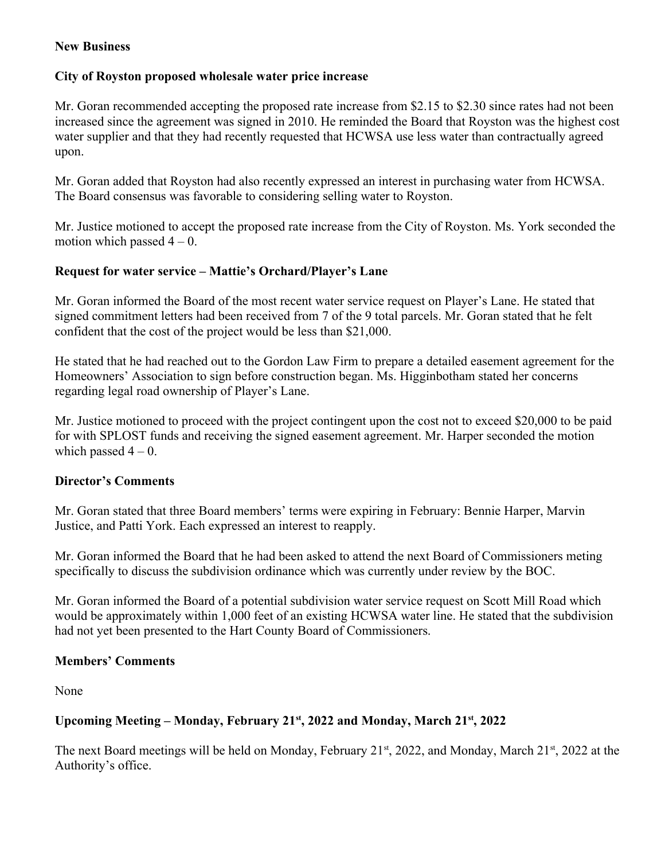#### **New Business**

### **City of Royston proposed wholesale water price increase**

Mr. Goran recommended accepting the proposed rate increase from \$2.15 to \$2.30 since rates had not been increased since the agreement was signed in 2010. He reminded the Board that Royston was the highest cost water supplier and that they had recently requested that HCWSA use less water than contractually agreed upon.

Mr. Goran added that Royston had also recently expressed an interest in purchasing water from HCWSA. The Board consensus was favorable to considering selling water to Royston.

Mr. Justice motioned to accept the proposed rate increase from the City of Royston. Ms. York seconded the motion which passed  $4 - 0$ .

## **Request for water service – Mattie's Orchard/Player's Lane**

Mr. Goran informed the Board of the most recent water service request on Player's Lane. He stated that signed commitment letters had been received from 7 of the 9 total parcels. Mr. Goran stated that he felt confident that the cost of the project would be less than \$21,000.

He stated that he had reached out to the Gordon Law Firm to prepare a detailed easement agreement for the Homeowners' Association to sign before construction began. Ms. Higginbotham stated her concerns regarding legal road ownership of Player's Lane.

Mr. Justice motioned to proceed with the project contingent upon the cost not to exceed \$20,000 to be paid for with SPLOST funds and receiving the signed easement agreement. Mr. Harper seconded the motion which passed  $4 - 0$ .

#### **Director's Comments**

Mr. Goran stated that three Board members' terms were expiring in February: Bennie Harper, Marvin Justice, and Patti York. Each expressed an interest to reapply.

Mr. Goran informed the Board that he had been asked to attend the next Board of Commissioners meting specifically to discuss the subdivision ordinance which was currently under review by the BOC.

Mr. Goran informed the Board of a potential subdivision water service request on Scott Mill Road which would be approximately within 1,000 feet of an existing HCWSA water line. He stated that the subdivision had not yet been presented to the Hart County Board of Commissioners.

## **Members' Comments**

None

# **Upcoming Meeting – Monday, February 21st, 2022 and Monday, March 21st, 2022**

The next Board meetings will be held on Monday, February 21<sup>st</sup>, 2022, and Monday, March 21<sup>st</sup>, 2022 at the Authority's office.